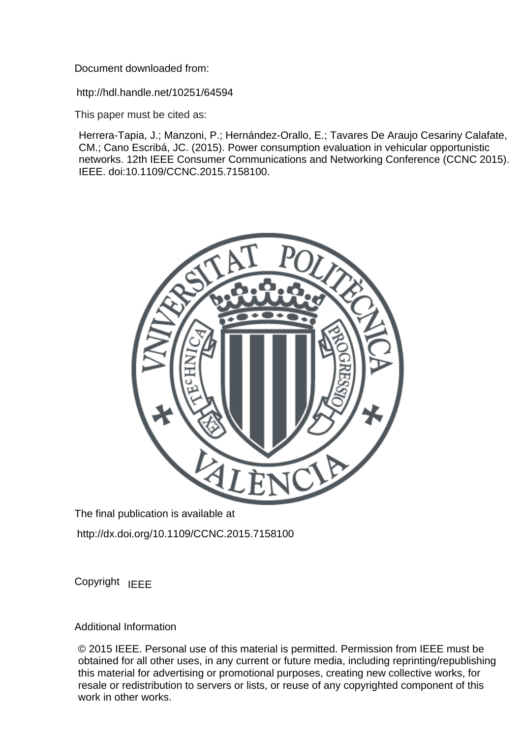Document downloaded from:

http://hdl.handle.net/10251/64594

This paper must be cited as:

Herrera-Tapia, J.; Manzoni, P.; Hernández-Orallo, E.; Tavares De Araujo Cesariny Calafate, CM.; Cano Escribá, JC. (2015). Power consumption evaluation in vehicular opportunistic networks. 12th IEEE Consumer Communications and Networking Conference (CCNC 2015). IEEE. doi:10.1109/CCNC.2015.7158100.



The final publication is available at

http://dx.doi.org/10.1109/CCNC.2015.7158100

Copyright IEEE

Additional Information

<sup>© 2015</sup> IEEE. Personal use of this material is permitted. Permission from IEEE must be obtained for all other uses, in any current or future media, including reprinting/republishing this material for advertising or promotional purposes, creating new collective works, for resale or redistribution to servers or lists, or reuse of any copyrighted component of this work in other works.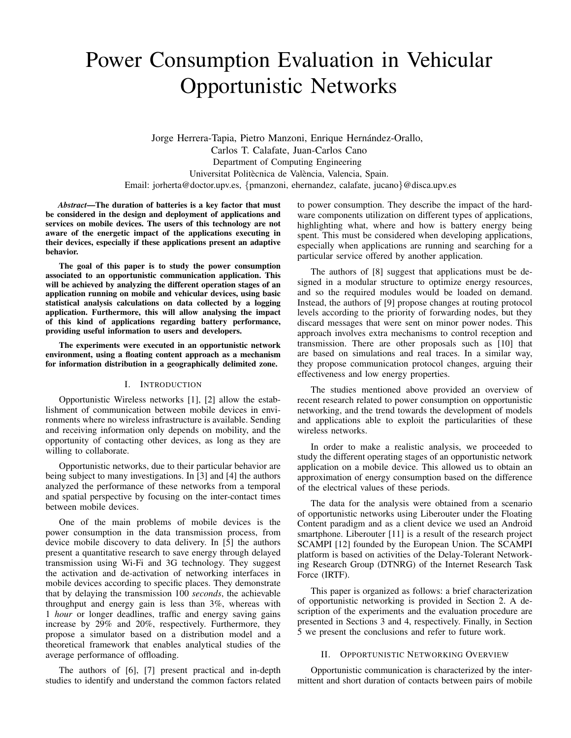# Power Consumption Evaluation in Vehicular Opportunistic Networks

Jorge Herrera-Tapia, Pietro Manzoni, Enrique Hernández-Orallo, Carlos T. Calafate, Juan-Carlos Cano Department of Computing Engineering Universitat Politècnica de València, Valencia, Spain. Email: jorherta@doctor.upv.es, {pmanzoni, ehernandez, calafate, jucano}@disca.upv.es

*Abstract*—The duration of batteries is a key factor that must be considered in the design and deployment of applications and services on mobile devices. The users of this technology are not aware of the energetic impact of the applications executing in their devices, especially if these applications present an adaptive behavior.

The goal of this paper is to study the power consumption associated to an opportunistic communication application. This will be achieved by analyzing the different operation stages of an application running on mobile and vehicular devices, using basic statistical analysis calculations on data collected by a logging application. Furthermore, this will allow analysing the impact of this kind of applications regarding battery performance, providing useful information to users and developers.

The experiments were executed in an opportunistic network environment, using a floating content approach as a mechanism for information distribution in a geographically delimited zone.

# I. INTRODUCTION

Opportunistic Wireless networks [1], [2] allow the establishment of communication between mobile devices in environments where no wireless infrastructure is available. Sending and receiving information only depends on mobility, and the opportunity of contacting other devices, as long as they are willing to collaborate.

Opportunistic networks, due to their particular behavior are being subject to many investigations. In [3] and [4] the authors analyzed the performance of these networks from a temporal and spatial perspective by focusing on the inter-contact times between mobile devices.

One of the main problems of mobile devices is the power consumption in the data transmission process, from device mobile discovery to data delivery. In [5] the authors present a quantitative research to save energy through delayed transmission using Wi-Fi and 3G technology. They suggest the activation and de-activation of networking interfaces in mobile devices according to specific places. They demonstrate that by delaying the transmission 100 *seconds*, the achievable throughput and energy gain is less than 3%, whereas with 1 *hour* or longer deadlines, traffic and energy saving gains increase by 29% and 20%, respectively. Furthermore, they propose a simulator based on a distribution model and a theoretical framework that enables analytical studies of the average performance of offloading.

The authors of [6], [7] present practical and in-depth studies to identify and understand the common factors related to power consumption. They describe the impact of the hardware components utilization on different types of applications, highlighting what, where and how is battery energy being spent. This must be considered when developing applications, especially when applications are running and searching for a particular service offered by another application.

The authors of [8] suggest that applications must be designed in a modular structure to optimize energy resources, and so the required modules would be loaded on demand. Instead, the authors of [9] propose changes at routing protocol levels according to the priority of forwarding nodes, but they discard messages that were sent on minor power nodes. This approach involves extra mechanisms to control reception and transmission. There are other proposals such as [10] that are based on simulations and real traces. In a similar way, they propose communication protocol changes, arguing their effectiveness and low energy properties.

The studies mentioned above provided an overview of recent research related to power consumption on opportunistic networking, and the trend towards the development of models and applications able to exploit the particularities of these wireless networks.

In order to make a realistic analysis, we proceeded to study the different operating stages of an opportunistic network application on a mobile device. This allowed us to obtain an approximation of energy consumption based on the difference of the electrical values of these periods.

The data for the analysis were obtained from a scenario of opportunistic networks using Liberouter under the Floating Content paradigm and as a client device we used an Android smartphone. Liberouter [11] is a result of the research project SCAMPI [12] founded by the European Union. The SCAMPI platform is based on activities of the Delay-Tolerant Networking Research Group (DTNRG) of the Internet Research Task Force (IRTF).

This paper is organized as follows: a brief characterization of opportunistic networking is provided in Section 2. A description of the experiments and the evaluation procedure are presented in Sections 3 and 4, respectively. Finally, in Section 5 we present the conclusions and refer to future work.

# II. OPPORTUNISTIC NETWORKING OVERVIEW

Opportunistic communication is characterized by the intermittent and short duration of contacts between pairs of mobile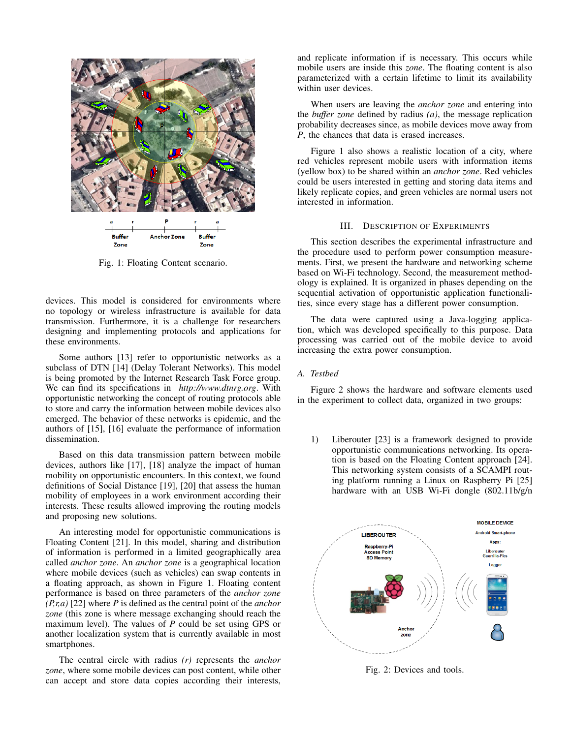

Fig. 1: Floating Content scenario.

devices. This model is considered for environments where no topology or wireless infrastructure is available for data transmission. Furthermore, it is a challenge for researchers designing and implementing protocols and applications for these environments.

Some authors [13] refer to opportunistic networks as a subclass of DTN [14] (Delay Tolerant Networks). This model is being promoted by the Internet Research Task Force group. We can find its specifications in *http://www.dtnrg.org*. With opportunistic networking the concept of routing protocols able to store and carry the information between mobile devices also emerged. The behavior of these networks is epidemic, and the authors of [15], [16] evaluate the performance of information dissemination.

Based on this data transmission pattern between mobile devices, authors like [17], [18] analyze the impact of human mobility on opportunistic encounters. In this context, we found definitions of Social Distance [19], [20] that assess the human mobility of employees in a work environment according their interests. These results allowed improving the routing models and proposing new solutions.

An interesting model for opportunistic communications is Floating Content [21]. In this model, sharing and distribution of information is performed in a limited geographically area called *anchor zone*. An *anchor zone* is a geographical location where mobile devices (such as vehicles) can swap contents in a floating approach, as shown in Figure 1. Floating content performance is based on three parameters of the *anchor zone (P,r,a)* [22] where *P* is defined as the central point of the *anchor zone* (this zone is where message exchanging should reach the maximum level). The values of *P* could be set using GPS or another localization system that is currently available in most smartphones.

The central circle with radius *(r)* represents the *anchor zone*, where some mobile devices can post content, while other can accept and store data copies according their interests,

and replicate information if is necessary. This occurs while mobile users are inside this *zone*. The floating content is also parameterized with a certain lifetime to limit its availability within user devices.

When users are leaving the *anchor zone* and entering into the *buffer zone* defined by radius *(a)*, the message replication probability decreases since, as mobile devices move away from *P*, the chances that data is erased increases.

Figure 1 also shows a realistic location of a city, where red vehicles represent mobile users with information items (yellow box) to be shared within an *anchor zone*. Red vehicles could be users interested in getting and storing data items and likely replicate copies, and green vehicles are normal users not interested in information.

# III. DESCRIPTION OF EXPERIMENTS

This section describes the experimental infrastructure and the procedure used to perform power consumption measurements. First, we present the hardware and networking scheme based on Wi-Fi technology. Second, the measurement methodology is explained. It is organized in phases depending on the sequential activation of opportunistic application functionalities, since every stage has a different power consumption.

The data were captured using a Java-logging application, which was developed specifically to this purpose. Data processing was carried out of the mobile device to avoid increasing the extra power consumption.

# *A. Testbed*

Figure 2 shows the hardware and software elements used in the experiment to collect data, organized in two groups:

1) Liberouter [23] is a framework designed to provide opportunistic communications networking. Its operation is based on the Floating Content approach [24]. This networking system consists of a SCAMPI routing platform running a Linux on Raspberry Pi [25] hardware with an USB Wi-Fi dongle (802.11b/g/n



Fig. 2: Devices and tools.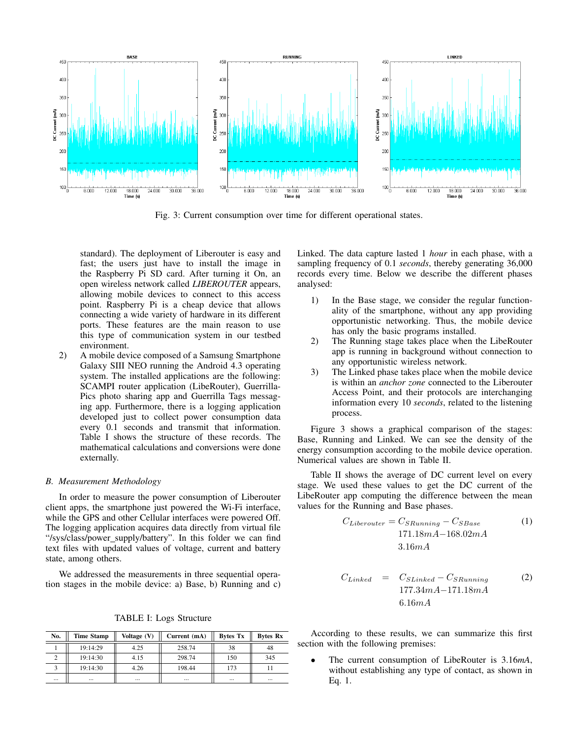

Fig. 3: Current consumption over time for different operational states.

standard). The deployment of Liberouter is easy and fast; the users just have to install the image in the Raspberry Pi SD card. After turning it On, an open wireless network called *LIBEROUTER* appears, allowing mobile devices to connect to this access point. Raspberry Pi is a cheap device that allows connecting a wide variety of hardware in its different ports. These features are the main reason to use this type of communication system in our testbed environment.

2) A mobile device composed of a Samsung Smartphone Galaxy SIII NEO running the Android 4.3 operating system. The installed applications are the following: SCAMPI router application (LibeRouter), Guerrilla-Pics photo sharing app and Guerrilla Tags messaging app. Furthermore, there is a logging application developed just to collect power consumption data every 0.1 seconds and transmit that information. Table I shows the structure of these records. The mathematical calculations and conversions were done externally.

#### *B. Measurement Methodology*

In order to measure the power consumption of Liberouter client apps, the smartphone just powered the Wi-Fi interface, while the GPS and other Cellular interfaces were powered Off. The logging application acquires data directly from virtual file "/sys/class/power\_supply/battery". In this folder we can find text files with updated values of voltage, current and battery state, among others.

We addressed the measurements in three sequential operation stages in the mobile device: a) Base, b) Running and c)

TABLE I: Logs Structure

| No.      | <b>Time Stamp</b> | Voltage (V) | Current (mA) | Bytes Tx | <b>Bytes Rx</b> |
|----------|-------------------|-------------|--------------|----------|-----------------|
|          | 19:14:29          | 4.25        | 258.74       | 38       | 48              |
|          | 19:14:30          | 4.15        | 298.74       | 150      | 345             |
|          | 19:14:30          | 4.26        | 198.44       | 173      |                 |
| $\cdots$ | $\cdots$          | $\cdots$    | $\cdots$     | $\cdots$ | $\cdots$        |

Linked. The data capture lasted 1 *hour* in each phase, with a sampling frequency of 0.1 *seconds*, thereby generating 36,000 records every time. Below we describe the different phases analysed:

- 1) In the Base stage, we consider the regular functionality of the smartphone, without any app providing opportunistic networking. Thus, the mobile device has only the basic programs installed.
- 2) The Running stage takes place when the LibeRouter app is running in background without connection to any opportunistic wireless network.
- 3) The Linked phase takes place when the mobile device is within an *anchor zone* connected to the Liberouter Access Point, and their protocols are interchanging information every 10 *seconds*, related to the listening process.

Figure 3 shows a graphical comparison of the stages: Base, Running and Linked. We can see the density of the energy consumption according to the mobile device operation. Numerical values are shown in Table II.

Table II shows the average of DC current level on every stage. We used these values to get the DC current of the LibeRouter app computing the difference between the mean values for the Running and Base phases.

$$
C_{Liberouter} = C_{SRanning} - C_{SBase}
$$
  
171.18mA-168.02mA  
3.16mA

$$
C_{Linked} = C_{SLinked} - C_{SRanning}
$$
\n
$$
177.34mA - 171.18mA
$$
\n
$$
6.16mA
$$
\n(2)

According to these results, we can summarize this first section with the following premises:

• The current consumption of LibeRouter is 3.16*mA*, without establishing any type of contact, as shown in Eq. 1.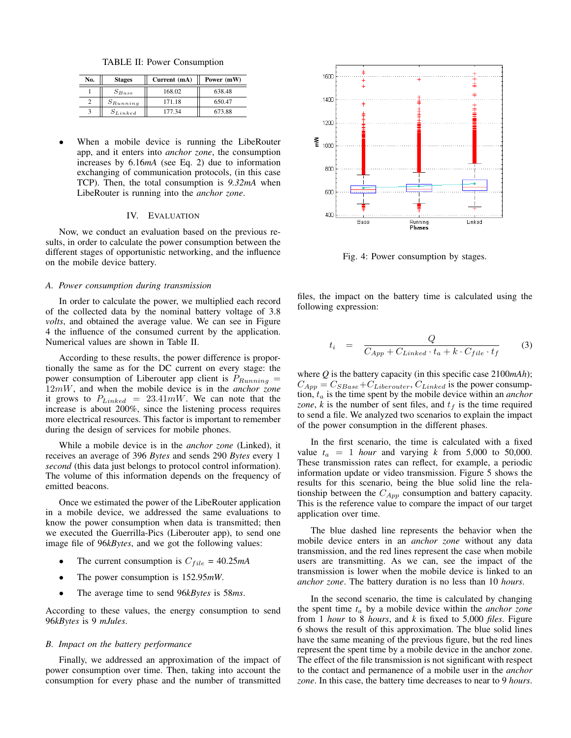TABLE II: Power Consumption

| No. | <b>Stages</b> | Current (mA) | Power (mW) |
|-----|---------------|--------------|------------|
|     | $S_{Base}$    | 168.02       | 638.48     |
|     | $S_{Running}$ | 171.18       | 650.47     |
|     | $S_{Linked}$  | 177.34       | 673.88     |

When a mobile device is running the LibeRouter app, and it enters into *anchor zone*, the consumption increases by 6.16*mA* (see Eq. 2) due to information exchanging of communication protocols, (in this case TCP). Then, the total consumption is *9.32mA* when LibeRouter is running into the *anchor zone*.

#### IV. EVALUATION

Now, we conduct an evaluation based on the previous results, in order to calculate the power consumption between the different stages of opportunistic networking, and the influence on the mobile device battery.

# *A. Power consumption during transmission*

In order to calculate the power, we multiplied each record of the collected data by the nominal battery voltage of 3.8 *volts*, and obtained the average value. We can see in Figure 4 the influence of the consumed current by the application. Numerical values are shown in Table II.

According to these results, the power difference is proportionally the same as for the DC current on every stage: the power consumption of Liberouter app client is  $P_{Running}$  = 12mW, and when the mobile device is in the *anchor zone* it grows to  $P_{Linked} = 23.41 \text{mW}$ . We can note that the increase is about 200%, since the listening process requires more electrical resources. This factor is important to remember during the design of services for mobile phones.

While a mobile device is in the *anchor zone* (Linked), it receives an average of 396 *Bytes* and sends 290 *Bytes* every 1 *second* (this data just belongs to protocol control information). The volume of this information depends on the frequency of emitted beacons.

Once we estimated the power of the LibeRouter application in a mobile device, we addressed the same evaluations to know the power consumption when data is transmitted; then we executed the Guerrilla-Pics (Liberouter app), to send one image file of 96*kBytes*, and we got the following values:

- The current consumption is  $C_{file} = 40.25mA$
- The power consumption is 152.95*mW*.
- The average time to send 96*kBytes* is 58*ms*.

According to these values, the energy consumption to send 96*kBytes* is 9 *mJules*.

# *B. Impact on the battery performance*

Finally, we addressed an approximation of the impact of power consumption over time. Then, taking into account the consumption for every phase and the number of transmitted



Fig. 4: Power consumption by stages.

files, the impact on the battery time is calculated using the following expression:

$$
t_i = \frac{Q}{C_{App} + C_{Linked} \cdot t_a + k \cdot C_{file} \cdot t_f}
$$
 (3)

where *Q* is the battery capacity (in this specific case 2100*mAh*);  $C_{App} = C_{SBase} + C_{Liberouter}$ ,  $C_{Linked}$  is the power consumption,  $t_a$  is the time spent by the mobile device within an *anchor zone*,  $k$  is the number of sent files, and  $t_f$  is the time required to send a file. We analyzed two scenarios to explain the impact of the power consumption in the different phases.

In the first scenario, the time is calculated with a fixed value  $t_a = 1$  *hour* and varying *k* from 5,000 to 50,000. These transmission rates can reflect, for example, a periodic information update or video transmission. Figure 5 shows the results for this scenario, being the blue solid line the relationship between the  $C_{App}$  consumption and battery capacity. This is the reference value to compare the impact of our target application over time.

The blue dashed line represents the behavior when the mobile device enters in an *anchor zone* without any data transmission, and the red lines represent the case when mobile users are transmitting. As we can, see the impact of the transmission is lower when the mobile device is linked to an *anchor zone*. The battery duration is no less than 10 *hours*.

In the second scenario, the time is calculated by changing the spent time *t*<sup>a</sup> by a mobile device within the *anchor zone* from 1 *hour* to 8 *hours*, and *k* is fixed to 5,000 *files*. Figure 6 shows the result of this approximation. The blue solid lines have the same meaning of the previous figure, but the red lines represent the spent time by a mobile device in the anchor zone. The effect of the file transmission is not significant with respect to the contact and permanence of a mobile user in the *anchor zone*. In this case, the battery time decreases to near to 9 *hours*.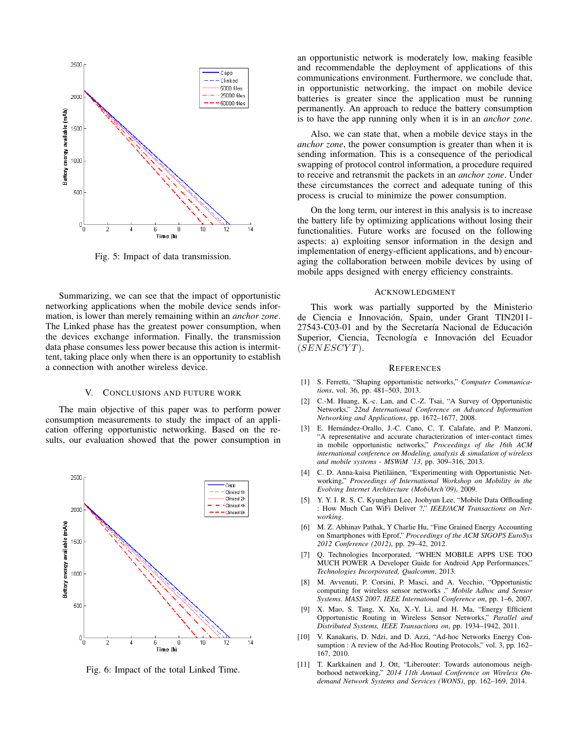

Fig. 5: Impact of data transmission.

Summarizing, we can see that the impact of opportunistic networking applications when the mobile device sends information, is lower than merely remaining within an *anchor zone*. The Linked phase has the greatest power consumption, when the devices exchange information. Finally, the transmission data phase consumes less power because this action is intermittent, taking place only when there is an opportunity to establish a connection with another wireless device.

#### V. CONCLUSIONS AND FUTURE WORK

The main objective of this paper was to perform power consumption measurements to study the impact of an application offering opportunistic networking. Based on the results, our evaluation showed that the power consumption in



Fig. 6: Impact of the total Linked Time.

an opportunistic network is moderately low, making feasible and recommendable the deployment of applications of this communications environment. Furthermore, we conclude that, in opportunistic networking, the impact on mobile device batteries is greater since the application must be running permanently. An approach to reduce the battery consumption is to have the app running only when it is in an *anchor zone*.

Also, we can state that, when a mobile device stays in the *anchor zone*, the power consumption is greater than when it is sending information. This is a consequence of the periodical swapping of protocol control information, a procedure required to receive and retransmit the packets in an *anchor zone*. Under these circumstances the correct and adequate tuning of this process is crucial to minimize the power consumption.

On the long term, our interest in this analysis is to increase the battery life by optimizing applications without losing their functionalities. Future works are focused on the following aspects: a) exploiting sensor information in the design and implementation of energy-efficient applications, and b) encouraging the collaboration between mobile devices by using of mobile apps designed with energy efficiency constraints.

#### ACKNOWLEDGMENT

This work was partially supported by the Ministerio de Ciencia e Innovación, Spain, under Grant TIN2011-27543-C03-01 and by the Secretaría Nacional de Educación Superior, Ciencia, Tecnología e Innovación del Ecuador  $(SENESCYT)$ .

#### **REFERENCES**

- [1] S. Ferretti, "Shaping opportunistic networks," *Computer Communications*, vol. 36, pp. 481–503, 2013.
- [2] C.-M. Huang, K.-c. Lan, and C.-Z. Tsai, "A Survey of Opportunistic Networks," *22nd International Conference on Advanced Information Networking and Applications*, pp. 1672–1677, 2008.
- [3] E. Hernández-Orallo, J.-C. Cano, C. T. Calafate, and P. Manzoni, "A representative and accurate characterization of inter-contact times in mobile opportunistic networks," *Proceedings of the 16th ACM international conference on Modeling, analysis & simulation of wireless and mobile systems - MSWiM '13*, pp. 309–316, 2013.
- [4] C. D. Anna-kaisa Pietiläinen, "Experimenting with Opportunistic Networking," *Proceedings of International Workshop on Mobility in the Evolving Internet Architecture (MobiArch'09)*, 2009.
- [5] Y. Y. I. R. S. C. Kyunghan Lee, Joohyun Lee, "Mobile Data Offloading : How Much Can WiFi Deliver ?," *IEEE/ACM Transactions on Networking*.
- [6] M. Z. Abhinav Pathak, Y Charlie Hu, "Fine Grained Energy Accounting on Smartphones with Eprof," *Proceedings of the ACM SIGOPS EuroSys 2012 Conference (2012)*, pp. 29–42, 2012.
- [7] Q. Technologies Incorporated, "WHEN MOBILE APPS USE TOO MUCH POWER A Developer Guide for Android App Performances," *Technologies Incorporated, Qualcomm*, 2013.
- [8] M. Avvenuti, P. Corsini, P. Masci, and A. Vecchio, "Opportunistic computing for wireless sensor networks ," *Mobile Adhoc and Sensor Systems. MASS 2007. IEEE Internatonal Conference on*, pp. 1–6, 2007.
- [9] X. Mao, S. Tang, X. Xu, X.-Y. Li, and H. Ma, "Energy Efficient Opportunistic Routing in Wireless Sensor Networks," *Parallel and Distributed Systems, IEEE Transactions on*, pp. 1934–1942, 2011.
- [10] V. Kanakaris, D. Ndzi, and D. Azzi, "Ad-hoc Networks Energy Consumption : A review of the Ad-Hoc Routing Protocols," vol. 3, pp. 162-167, 2010.
- [11] T. Karkkainen and J. Ott, "Liberouter: Towards autonomous neighborhood networking," *2014 11th Annual Conference on Wireless Ondemand Network Systems and Services (WONS)*, pp. 162–169, 2014.